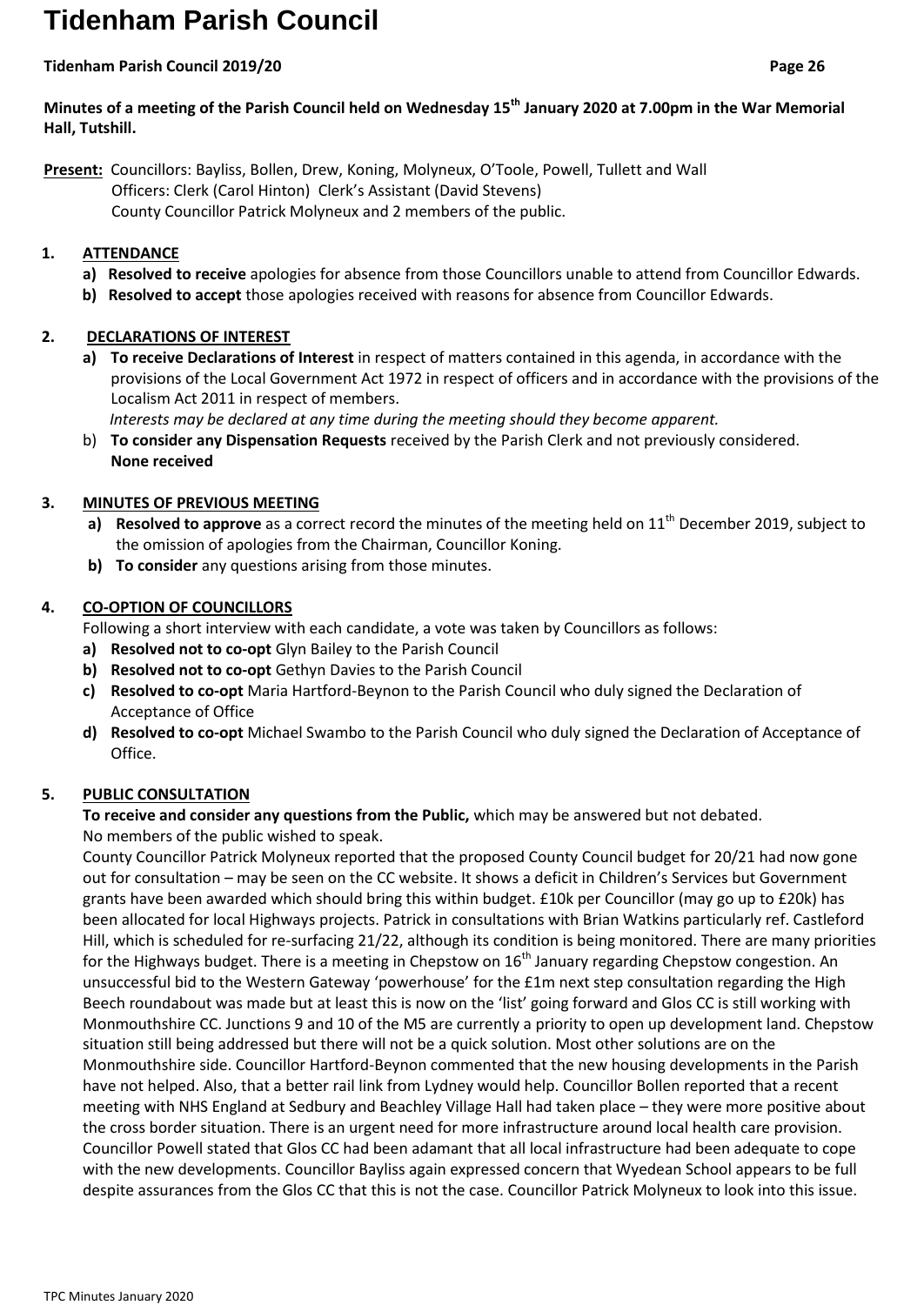# **Tidenham Parish Council**

## **Tidenham Parish Council 2019/20 Page 26**

# **Minutes of a meeting of the Parish Council held on Wednesday 15th January 2020 at 7.00pm in the War Memorial Hall, Tutshill.**

**Present:** Councillors: Bayliss, Bollen, Drew, Koning, Molyneux, O'Toole, Powell, Tullett and Wall Officers: Clerk (Carol Hinton) Clerk's Assistant (David Stevens) County Councillor Patrick Molyneux and 2 members of the public.

# **1. ATTENDANCE**

- **a) Resolved to receive** apologies for absence from those Councillors unable to attend from Councillor Edwards.
- **b) Resolved to accept** those apologies received with reasons for absence from Councillor Edwards.

# **2. DECLARATIONS OF INTEREST**

- **a) To receive Declarations of Interest** in respect of matters contained in this agenda, in accordance with the provisions of the Local Government Act 1972 in respect of officers and in accordance with the provisions of the Localism Act 2011 in respect of members.
- *Interests may be declared at any time during the meeting should they become apparent.* b) **To consider any Dispensation Requests** received by the Parish Clerk and not previously considered.
	- **None received**

# **3. MINUTES OF PREVIOUS MEETING**

- a) **Resolved to approve** as a correct record the minutes of the meeting held on 11<sup>th</sup> December 2019, subject to the omission of apologies from the Chairman, Councillor Koning.
- **b) To consider** any questions arising from those minutes.

# **4. CO-OPTION OF COUNCILLORS**

Following a short interview with each candidate, a vote was taken by Councillors as follows:

- **a) Resolved not to co-opt** Glyn Bailey to the Parish Council
- **b) Resolved not to co-opt** Gethyn Davies to the Parish Council
- **c) Resolved to co-opt** Maria Hartford-Beynon to the Parish Council who duly signed the Declaration of Acceptance of Office
- **d) Resolved to co-opt** Michael Swambo to the Parish Council who duly signed the Declaration of Acceptance of Office.

# **5. PUBLIC CONSULTATION**

# **To receive and consider any questions from the Public,** which may be answered but not debated. No members of the public wished to speak.

County Councillor Patrick Molyneux reported that the proposed County Council budget for 20/21 had now gone out for consultation – may be seen on the CC website. It shows a deficit in Children's Services but Government grants have been awarded which should bring this within budget. £10k per Councillor (may go up to £20k) has been allocated for local Highways projects. Patrick in consultations with Brian Watkins particularly ref. Castleford Hill, which is scheduled for re-surfacing 21/22, although its condition is being monitored. There are many priorities for the Highways budget. There is a meeting in Chepstow on  $16<sup>th</sup>$  January regarding Chepstow congestion. An unsuccessful bid to the Western Gateway 'powerhouse' for the £1m next step consultation regarding the High Beech roundabout was made but at least this is now on the 'list' going forward and Glos CC is still working with Monmouthshire CC. Junctions 9 and 10 of the M5 are currently a priority to open up development land. Chepstow situation still being addressed but there will not be a quick solution. Most other solutions are on the Monmouthshire side. Councillor Hartford-Beynon commented that the new housing developments in the Parish have not helped. Also, that a better rail link from Lydney would help. Councillor Bollen reported that a recent meeting with NHS England at Sedbury and Beachley Village Hall had taken place – they were more positive about the cross border situation. There is an urgent need for more infrastructure around local health care provision. Councillor Powell stated that Glos CC had been adamant that all local infrastructure had been adequate to cope with the new developments. Councillor Bayliss again expressed concern that Wyedean School appears to be full despite assurances from the Glos CC that this is not the case. Councillor Patrick Molyneux to look into this issue.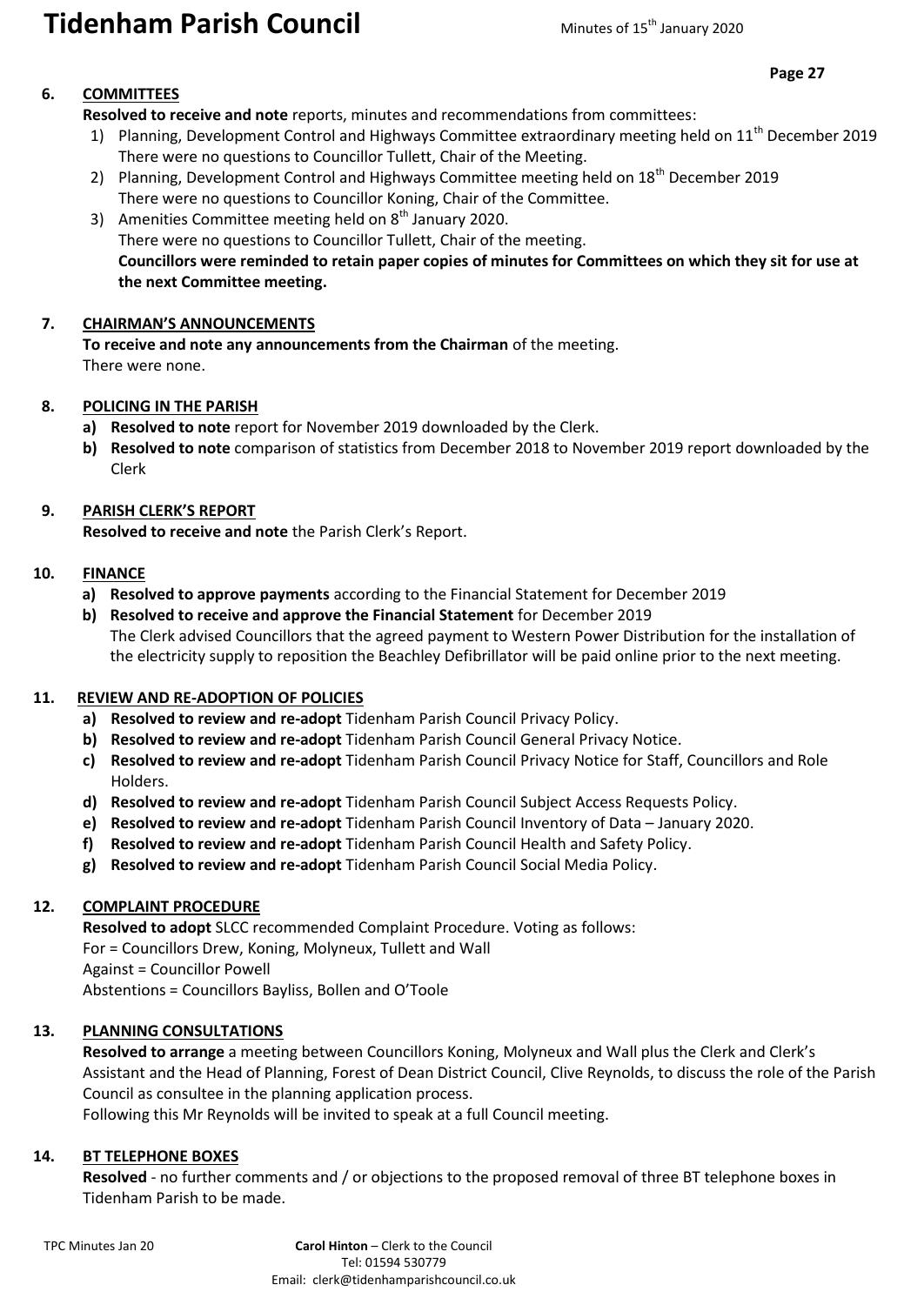# **Tidenham Parish Council** Minutes of 15<sup>th</sup> January 2020

#### **Page 27**

# **6. COMMITTEES**

**Resolved to receive and note** reports, minutes and recommendations from committees:

- 1) Planning, Development Control and Highways Committee extraordinary meeting held on 11<sup>th</sup> December 2019 There were no questions to Councillor Tullett, Chair of the Meeting.
- 2) Planning, Development Control and Highways Committee meeting held on 18<sup>th</sup> December 2019 There were no questions to Councillor Koning, Chair of the Committee.
- 3) Amenities Committee meeting held on  $8<sup>th</sup>$  January 2020. There were no questions to Councillor Tullett, Chair of the meeting. **Councillors were reminded to retain paper copies of minutes for Committees on which they sit for use at the next Committee meeting.**

#### **7. CHAIRMAN'S ANNOUNCEMENTS**

**To receive and note any announcements from the Chairman** of the meeting. There were none.

## **8. POLICING IN THE PARISH**

- **a) Resolved to note** report for November 2019 downloaded by the Clerk.
- **b) Resolved to note** comparison of statistics from December 2018 to November 2019 report downloaded by the Clerk

## **9. PARISH CLERK'S REPORT**

**Resolved to receive and note** the Parish Clerk's Report.

#### **10. FINANCE**

- **a) Resolved to approve payments** according to the Financial Statement for December 2019
- **b) Resolved to receive and approve the Financial Statement** for December 2019 The Clerk advised Councillors that the agreed payment to Western Power Distribution for the installation of the electricity supply to reposition the Beachley Defibrillator will be paid online prior to the next meeting.

#### **11. REVIEW AND RE-ADOPTION OF POLICIES**

- **a) Resolved to review and re-adopt** Tidenham Parish Council Privacy Policy.
- **b) Resolved to review and re-adopt** Tidenham Parish Council General Privacy Notice.
- **c) Resolved to review and re-adopt** Tidenham Parish Council Privacy Notice for Staff, Councillors and Role Holders.
- **d) Resolved to review and re-adopt** Tidenham Parish Council Subject Access Requests Policy.
- **e) Resolved to review and re-adopt** Tidenham Parish Council Inventory of Data January 2020.
- **f) Resolved to review and re-adopt** Tidenham Parish Council Health and Safety Policy.
- **g) Resolved to review and re-adopt** Tidenham Parish Council Social Media Policy.

# **12. COMPLAINT PROCEDURE**

**Resolved to adopt** SLCC recommended Complaint Procedure. Voting as follows: For = Councillors Drew, Koning, Molyneux, Tullett and Wall Against = Councillor Powell Abstentions = Councillors Bayliss, Bollen and O'Toole

#### **13. PLANNING CONSULTATIONS**

**Resolved to arrange** a meeting between Councillors Koning, Molyneux and Wall plus the Clerk and Clerk's Assistant and the Head of Planning, Forest of Dean District Council, Clive Reynolds, to discuss the role of the Parish Council as consultee in the planning application process.

Following this Mr Reynolds will be invited to speak at a full Council meeting.

#### **14. BT TELEPHONE BOXES**

**Resolved** - no further comments and / or objections to the proposed removal of three BT telephone boxes in Tidenham Parish to be made.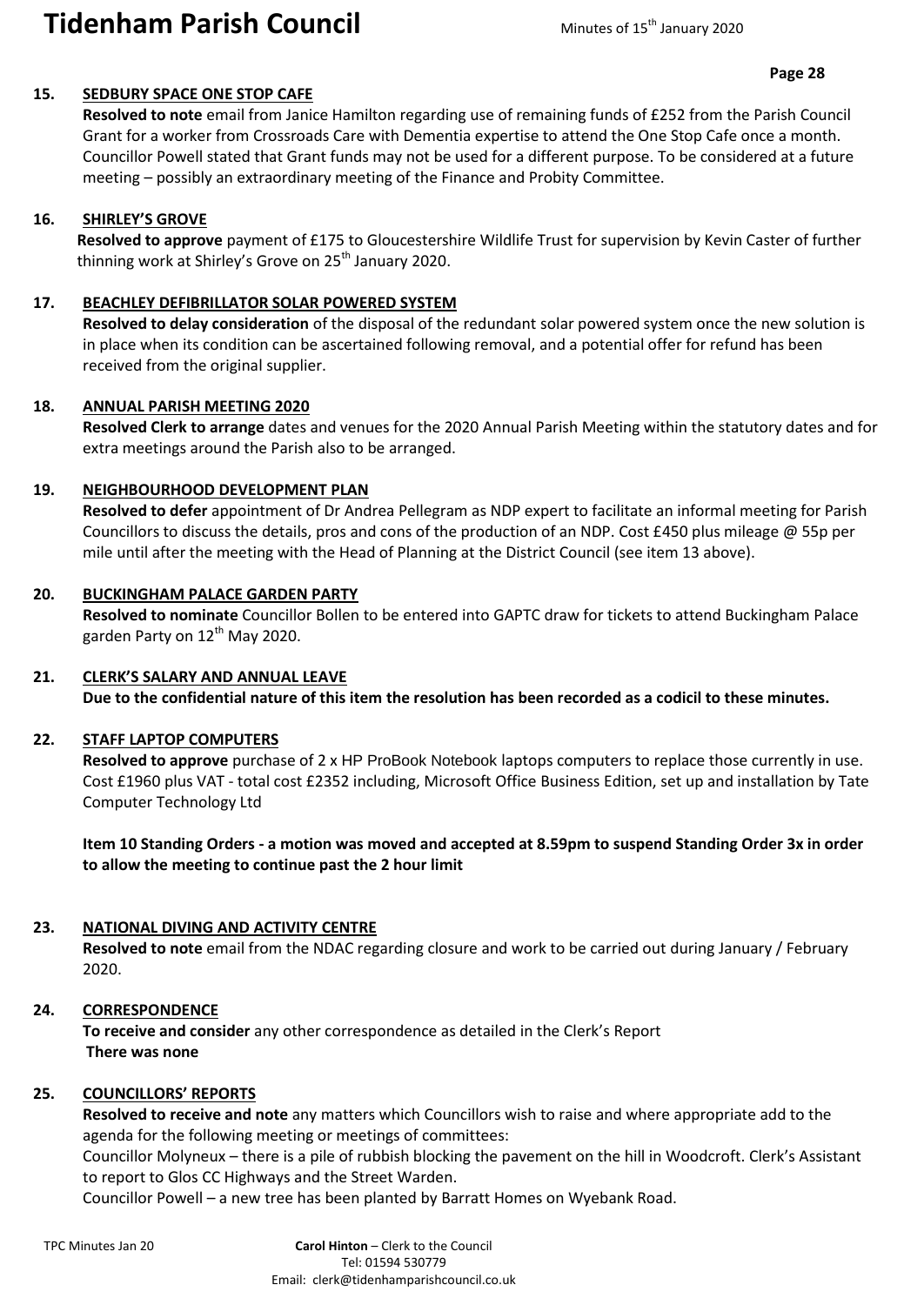# **Tidenham Parish Council** Minutes of 15<sup>th</sup> January 2020

#### **15. SEDBURY SPACE ONE STOP CAFE**

**Resolved to note** email from Janice Hamilton regarding use of remaining funds of £252 from the Parish Council Grant for a worker from Crossroads Care with Dementia expertise to attend the One Stop Cafe once a month. Councillor Powell stated that Grant funds may not be used for a different purpose. To be considered at a future meeting – possibly an extraordinary meeting of the Finance and Probity Committee.

#### **16. SHIRLEY'S GROVE**

**Resolved to approve** payment of £175 to Gloucestershire Wildlife Trust for supervision by Kevin Caster of further thinning work at Shirley's Grove on 25<sup>th</sup> January 2020.

#### **17. BEACHLEY DEFIBRILLATOR SOLAR POWERED SYSTEM**

**Resolved to delay consideration** of the disposal of the redundant solar powered system once the new solution is in place when its condition can be ascertained following removal, and a potential offer for refund has been received from the original supplier.

## **18. ANNUAL PARISH MEETING 2020**

**Resolved Clerk to arrange** dates and venues for the 2020 Annual Parish Meeting within the statutory dates and for extra meetings around the Parish also to be arranged.

#### **19. NEIGHBOURHOOD DEVELOPMENT PLAN**

**Resolved to defer** appointment of Dr Andrea Pellegram as NDP expert to facilitate an informal meeting for Parish Councillors to discuss the details, pros and cons of the production of an NDP. Cost £450 plus mileage @ 55p per mile until after the meeting with the Head of Planning at the District Council (see item 13 above).

#### **20. BUCKINGHAM PALACE GARDEN PARTY**

**Resolved to nominate** Councillor Bollen to be entered into GAPTC draw for tickets to attend Buckingham Palace garden Party on 12<sup>th</sup> May 2020.

#### **21. CLERK'S SALARY AND ANNUAL LEAVE**

**Due to the confidential nature of this item the resolution has been recorded as a codicil to these minutes.**

#### **22. STAFF LAPTOP COMPUTERS**

**Resolved to approve** purchase of 2 x HP ProBook Notebook laptops computers to replace those currently in use. Cost £1960 plus VAT - total cost £2352 including, Microsoft Office Business Edition, set up and installation by Tate Computer Technology Ltd

**Item 10 Standing Orders - a motion was moved and accepted at 8.59pm to suspend Standing Order 3x in order to allow the meeting to continue past the 2 hour limit** 

# **23. NATIONAL DIVING AND ACTIVITY CENTRE**

**Resolved to note** email from the NDAC regarding closure and work to be carried out during January / February 2020.

# **24. CORRESPONDENCE**

**To receive and consider** any other correspondence as detailed in the Clerk's Report  **There was none**

# **25. COUNCILLORS' REPORTS**

**Resolved to receive and note** any matters which Councillors wish to raise and where appropriate add to the agenda for the following meeting or meetings of committees:

Councillor Molyneux – there is a pile of rubbish blocking the pavement on the hill in Woodcroft. Clerk's Assistant to report to Glos CC Highways and the Street Warden.

Councillor Powell – a new tree has been planted by Barratt Homes on Wyebank Road.